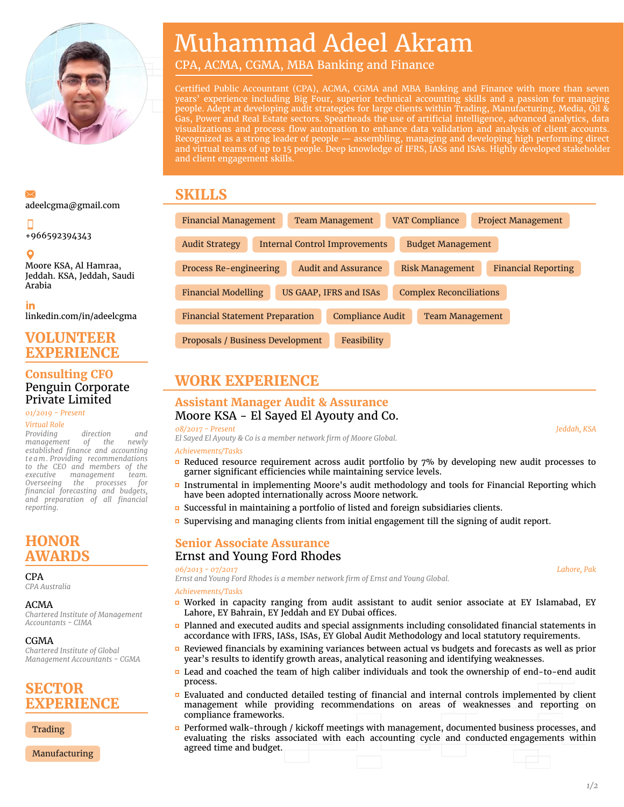

# Muhammad Adeel Akram

CPA, ACMA, CGMA, MBA Banking and Finance

Certified Public Accountant (CPA), ACMA, CGMA and MBA Banking and Finance with more than seven years' experience including Big Four, superior technical accounting skills and a passion for managing people. Adept at developing audit strategies for large clients within Trading, Manufacturing, Media, Oil & Gas, Power and Real Estate sectors. Spearheads the use of artificial intelligence, advanced analytics, data visualizations and process flow automation to enhance data validation and analysis of client accounts. Recognized as a strong leader of people — assembling, managing and developing high performing direct and virtual teams of up to 15 people. Deep knowledge of IFRS, IASs and ISAs. Highly developed stakeholder and client engagement skills.

### **SKILLS**

| <b>Financial Management</b>                                                        |                        | <b>Team Management</b>     |                                | <b>VAT Compliance</b>  |                        | <b>Project Management</b>  |  |
|------------------------------------------------------------------------------------|------------------------|----------------------------|--------------------------------|------------------------|------------------------|----------------------------|--|
| <b>Audit Strategy</b><br>Internal Control Improvements<br><b>Budget Management</b> |                        |                            |                                |                        |                        |                            |  |
| Process Re-engineering                                                             |                        | <b>Audit and Assurance</b> |                                | <b>Risk Management</b> |                        | <b>Financial Reporting</b> |  |
| <b>Financial Modelling</b>                                                         | US GAAP, IFRS and ISAs |                            | <b>Complex Reconciliations</b> |                        |                        |                            |  |
| <b>Financial Statement Preparation</b>                                             |                        |                            | <b>Compliance Audit</b>        |                        | <b>Team Management</b> |                            |  |
| Proposals / Business Development                                                   |                        |                            | Feasibility                    |                        |                        |                            |  |

## **WORK EXPERIENCE**

### **Assistant Manager Audit & Assurance**

Moore KSA - El Sayed El Ayouty and Co.

#### *08/2017 - Present*, *Jeddah, KSA*

*El Sayed El Ayouty & Co is a member network firm of Moore Global.*

#### *Achievements/Tasks*

- $\Box$  Reduced resource requirement across audit portfolio by 7% by developing new audit processes to garner significant efficiencies while maintaining service levels.
- **Instrumental in implementing Moore's audit methodology and tools for Financial Reporting which** have been adopted internationally across Moore network.
- Successful in maintaining a portfolio of listed and foreign subsidiaries clients.
- Supervising and managing clients from initial engagement till the signing of audit report.

### **Senior Associate Assurance** Ernst and Young Ford Rhodes

#### *06/2013 - 07/2017*, *Lahore, Pak*

*Ernst and Young Ford Rhodes is a member network firm of Ernst and Young Global.*

#### *Achievements/Tasks*

- Worked in capacity ranging from audit assistant to audit senior associate at EY Islamabad, EY Lahore, EY Bahrain, EY Jeddah and EY Dubai offices.
- Planned and executed audits and special assignments including consolidated financial statements in accordance with IFRS, IASs, ISAs, EY Global Audit Methodology and local statutory requirements.
- Reviewed financials by examining variances between actual vs budgets and forecasts as well as prior year's results to identify growth areas, analytical reasoning and identifying weaknesses.
- Lead and coached the team of high caliber individuals and took the ownership of end-to-end audit process.
- Evaluated and conducted detailed testing of financial and internal controls implemented by client management while providing recommendations on areas of weaknesses and reporting on compliance frameworks.
- **Performed walk-through / kickoff meetings with management, documented business processes, and** evaluating the risks associated with each accounting cycle and conducted engagements within agreed time and budget.

## [adeelcgma@gmail.com](mailto:adeelcgma@gmail.com)

+966592394343

Moore KSA, Al Hamraa, Jeddah. KSA, Jeddah, Saudi Arabia

in

[linkedin.com/in/adeelcgma](https://www.linkedin.com/in/adeelcgma)

### **VOLUNTEER EXPERIENCE**

### **Consulting CFO** Penguin Corporate Private Limited

*01/2019 - Present*,

#### *Virtual Role*

*Providing direction and management of the newly established finance and accounting t eam. Providing recommendations to the CEO and members of the executive management team. Overseeing the processes for financial forecasting and budgets, and preparation of all financial reporting.*

### **HONOR AWARDS**

 $CD<sub>Δ</sub>$ 

*CPA Australia*

#### ACMA

*Chartered Institute of Management Accountants - CIMA*

#### CGMA

*Chartered Institute of Global Management Accountants - CGMA*

### **SECTOR EXPERIENCE**

**Trading** 

Manufacturing